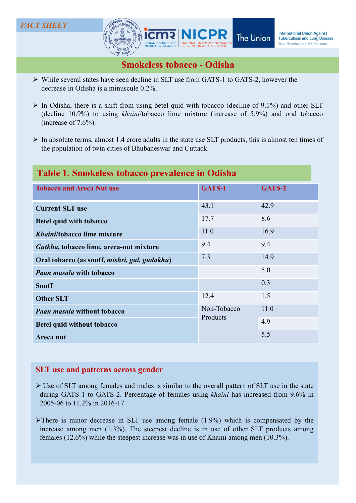### **FACT SHEET**



- While several states have seen decline in SLT use from GATS-1 to GATS-2, however the decrease in Odisha is a minuscule 0.2%.
- 
- 

# Table 1. Smokeless tobacco prevalence in Odisha

|                                                                                                                                                                                                                                                                       |                         | <b>INCHICATORIAL OTHOL: AGAINST</b><br>The Union<br><b>Tuberculosis and Lung Disease</b><br>Health solutions for the poor |
|-----------------------------------------------------------------------------------------------------------------------------------------------------------------------------------------------------------------------------------------------------------------------|-------------------------|---------------------------------------------------------------------------------------------------------------------------|
| <b>Smokeless tobacco - Odisha</b>                                                                                                                                                                                                                                     |                         |                                                                                                                           |
| $\triangleright$ While several states have seen decline in SLT use from GATS-1 to GATS-2, however the<br>decrease in Odisha is a minuscule 0.2%.                                                                                                                      |                         |                                                                                                                           |
| $\triangleright$ In Odisha, there is a shift from using betel quid with tobacco (decline of 9.1%) and other SLT<br>(decline 10.9%) to using khaini/tobacco lime mixture (increase of 5.9%) and oral tobacco<br>(increase of $7.6\%$ ).                                |                         |                                                                                                                           |
| $\triangleright$ In absolute terms, almost 1.4 crore adults in the state use SLT products, this is almost ten times of<br>the population of twin cities of Bhubaneswar and Cuttack.                                                                                   |                         |                                                                                                                           |
| Table 1. Smokeless tobacco prevalence in Odisha                                                                                                                                                                                                                       |                         |                                                                                                                           |
| <b>Tobacco and Areca Nut use</b>                                                                                                                                                                                                                                      | GATS-1                  | GATS-2                                                                                                                    |
| <b>Current SLT use</b>                                                                                                                                                                                                                                                | 43.1                    | 42.9                                                                                                                      |
| <b>Betel quid with tobacco</b>                                                                                                                                                                                                                                        | 17.7                    | 8.6                                                                                                                       |
| Khaini/tobacco lime mixture                                                                                                                                                                                                                                           | 11.0                    | 16.9                                                                                                                      |
| Gutkha, tobacco lime, areca-nut mixture                                                                                                                                                                                                                               | 9.4                     | 9.4                                                                                                                       |
| Oral tobacco (as snuff, mishri, gul, gudakhu)                                                                                                                                                                                                                         | 7.3                     | 14.9                                                                                                                      |
| <b>Paan masala with tobacco</b>                                                                                                                                                                                                                                       |                         | 5.0                                                                                                                       |
| <b>Snuff</b>                                                                                                                                                                                                                                                          |                         | 0.3                                                                                                                       |
| <b>Other SLT</b>                                                                                                                                                                                                                                                      | 12.4                    | 1.5                                                                                                                       |
| <b>Paan masala without tobacco</b>                                                                                                                                                                                                                                    | Non-Tobacco<br>Products | 11.0                                                                                                                      |
| <b>Betel quid without tobacco</b>                                                                                                                                                                                                                                     |                         | 4.9                                                                                                                       |
| Areca nut                                                                                                                                                                                                                                                             |                         | 5.5                                                                                                                       |
|                                                                                                                                                                                                                                                                       |                         |                                                                                                                           |
| <b>SLT</b> use and patterns across gender                                                                                                                                                                                                                             |                         |                                                                                                                           |
| $\triangleright$ Use of SLT among females and males is similar to the overall pattern of SLT use in the state<br>during GATS-1 to GATS-2. Percentage of females using khaini has increased from 9.6% in<br>2005-06 to 11.2% in 2016-17                                |                         |                                                                                                                           |
| There is minor decrease in SLT use among female $(1.9\%)$ which is compensated by the<br>increase among men (1.3%). The steepest decline is in use of other SLT products among<br>females (12.6%) while the steepest increase was in use of Khaini among men (10.3%). |                         |                                                                                                                           |
|                                                                                                                                                                                                                                                                       |                         |                                                                                                                           |

- 
-